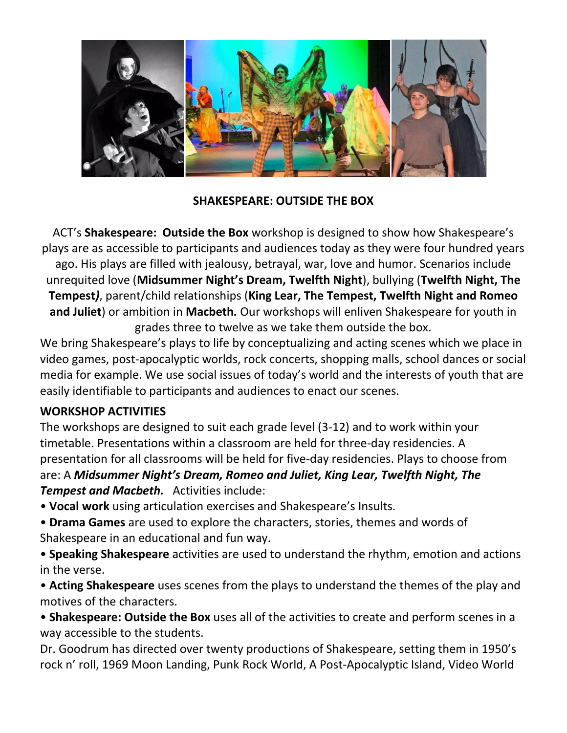

## **SHAKESPEARE: OUTSIDE THE BOX**

ACT's **Shakespeare: Outside the Box** workshop is designed to show how Shakespeare's plays are as accessible to participants and audiences today as they were four hundred years ago. His plays are filled with jealousy, betrayal, war, love and humor. Scenarios include unrequited love (**Midsummer Night's Dream, Twelfth Night**), bullying (**Twelfth Night, The Tempest***)*, parent/child relationships (**King Lear, The Tempest, Twelfth Night and Romeo and Juliet**) or ambition in **Macbeth***.* Our workshops will enliven Shakespeare for youth in grades three to twelve as we take them outside the box.

We bring Shakespeare's plays to life by conceptualizing and acting scenes which we place in video games, post-apocalyptic worlds, rock concerts, shopping malls, school dances or social media for example. We use social issues of today's world and the interests of youth that are easily identifiable to participants and audiences to enact our scenes.

## **WORKSHOP ACTIVITIES**

The workshops are designed to suit each grade level (3-12) and to work within your timetable. Presentations within a classroom are held for three-day residencies. A presentation for all classrooms will be held for five-day residencies. Plays to choose from are: A *Midsummer Night's Dream, Romeo and Juliet, King Lear, Twelfth Night, The Tempest and Macbeth.* Activities include:

- **Vocal work** using articulation exercises and Shakespeare's Insults.
- **Drama Games** are used to explore the characters, stories, themes and words of Shakespeare in an educational and fun way.
- **Speaking Shakespeare** activities are used to understand the rhythm, emotion and actions in the verse.
- **Acting Shakespeare** uses scenes from the plays to understand the themes of the play and motives of the characters.
- **Shakespeare: Outside the Box** uses all of the activities to create and perform scenes in a way accessible to the students.

Dr. Goodrum has directed over twenty productions of Shakespeare, setting them in 1950's rock n' roll, 1969 Moon Landing, Punk Rock World, A Post-Apocalyptic Island, Video World